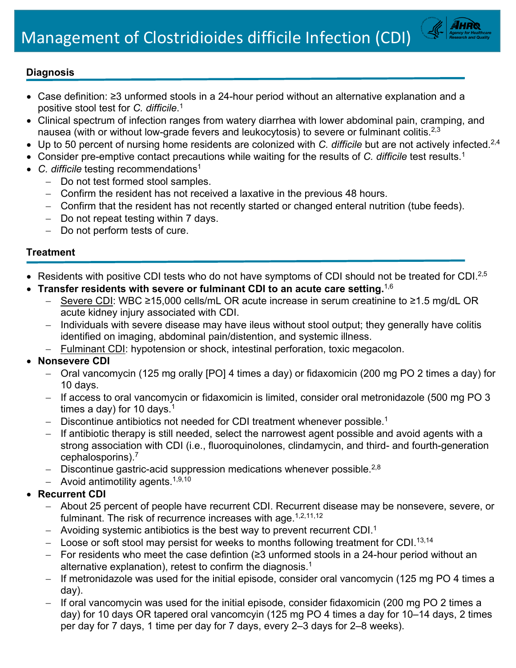

## **Diagnosis**

- Case definition: ≥3 unformed stools in a 24-hour period without an alternative explanation and a positive stool test for *C. difficile*. 1
- Clinical spectrum of infection ranges from watery diarrhea with lower abdominal pain, cramping, and nausea (with or without low-grade fevers and leukocytosis) to severe or fulminant colitis. $^{2,3}$
- Up to 50 percent of nursing home residents are colonized with *C. difficile* but are not actively infected.2,4
- Consider pre-emptive contact precautions while waiting for the results of *C. difficile* test results. 1
- *C. difficile* testing recommendations<sup>1</sup>
	- − Do not test formed stool samples.
	- − Confirm the resident has not received a laxative in the previous 48 hours.
	- − Confirm that the resident has not recently started or changed enteral nutrition (tube feeds).
	- − Do not repeat testing within 7 days.
	- − Do not perform tests of cure.

#### **Treatment**

- Residents with positive CDI tests who do not have symptoms of CDI should not be treated for CDI.<sup>2,5</sup>
- **Transfer residents with severe or fulminant CDI to an acute care setting.** 1,6
	- Severe CDI: WBC ≥15,000 cells/mL OR acute increase in serum creatinine to ≥1.5 mg/dL OR acute kidney injury associated with CDI.
	- − Individuals with severe disease may have ileus without stool output; they generally have colitis identified on imaging, abdominal pain/distention, and systemic illness.
	- − Fulminant CDI: hypotension or shock, intestinal perforation, toxic megacolon.

## • **Nonsevere CDI**

- − Oral vancomycin (125 mg orally [PO] 4 times a day) or fidaxomicin (200 mg PO 2 times a day) for 10 days.
- − If access to oral vancomycin or fidaxomicin is limited, consider oral metronidazole (500 mg PO 3 times a day) for 10 days. $^{\rm 1}$
- − Discontinue antibiotics not needed for CDI treatment whenever possible. 1
- − If antibiotic therapy is still needed, select the narrowest agent possible and avoid agents with a strong association with CDI (i.e., fluoroquinolones, clindamycin, and third- and fourth-generation cephalosporins). 7
- − Discontinue gastric-acid suppression medications whenever possible.<sup>2,8</sup>
- − Avoid antimotility agents. 1,9,10

# • **Recurrent CDI**

- − About 25 percent of people have recurrent CDI. Recurrent disease may be nonsevere, severe, or fulminant. The risk of recurrence increases with age.<sup>1,2,11,12</sup>
- $-$  Avoiding systemic antibiotics is the best way to prevent recurrent CDI. $^{\rm 1}$
- − Loose or soft stool may persist for weeks to months following treatment for CDI. 13,14
- − For residents who meet the case defintion (≥3 unformed stools in a 24-hour period without an alternative explanation), retest to confirm the diagnosis. 1
- If metronidazole was used for the initial episode, consider oral vancomycin (125 mg PO 4 times a day).
- If oral vancomycin was used for the initial episode, consider fidaxomicin (200 mg PO 2 times a day) for 10 days OR tapered oral vancomcyin (125 mg PO 4 times a day for 10–14 days, 2 times per day for 7 days, 1 time per day for 7 days, every 2–3 days for 2–8 weeks).